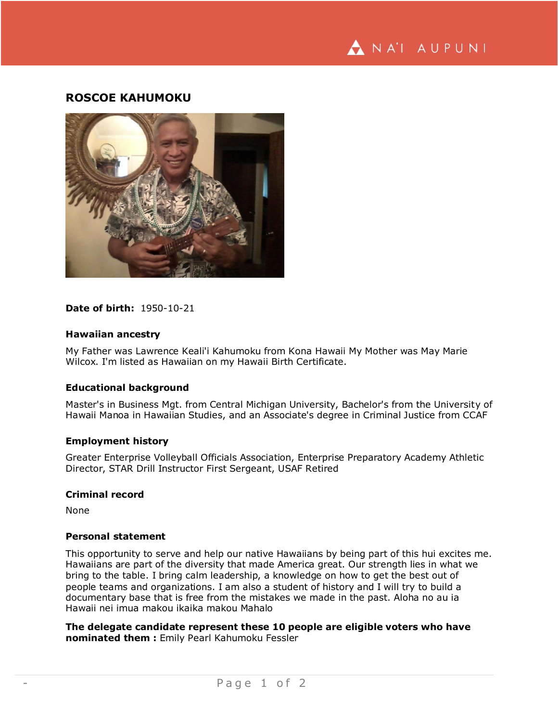

# **ROSCOE KAHUMOKU**



## **Date of birth:** 1950-10-21

### **Hawaiian ancestry**

My Father was Lawrence Keali'i Kahumoku from Kona Hawaii My Mother was May Marie Wilcox. I'm listed as Hawaiian on my Hawaii Birth Certificate.

### **Educational background**

Master's in Business Mgt. from Central Michigan University, Bachelor's from the University of Hawaii Manoa in Hawaiian Studies, and an Associate's degree in Criminal Justice from CCAF

## **Employment history**

Greater Enterprise Volleyball Officials Association, Enterprise Preparatory Academy Athletic Director, STAR Drill Instructor First Sergeant, USAF Retired

## **Criminal record**

None

#### **Personal statement**

This opportunity to serve and help our native Hawaiians by being part of this hui excites me. Hawaiians are part of the diversity that made America great. Our strength lies in what we bring to the table. I bring calm leadership, a knowledge on how to get the best out of people teams and organizations. I am also a student of history and I will try to build a documentary base that is free from the mistakes we made in the past. Aloha no au ia Hawaii nei imua makou ikaika makou Mahalo

**The delegate candidate represent these 10 people are eligible voters who have nominated them :** Emily Pearl Kahumoku Fessler